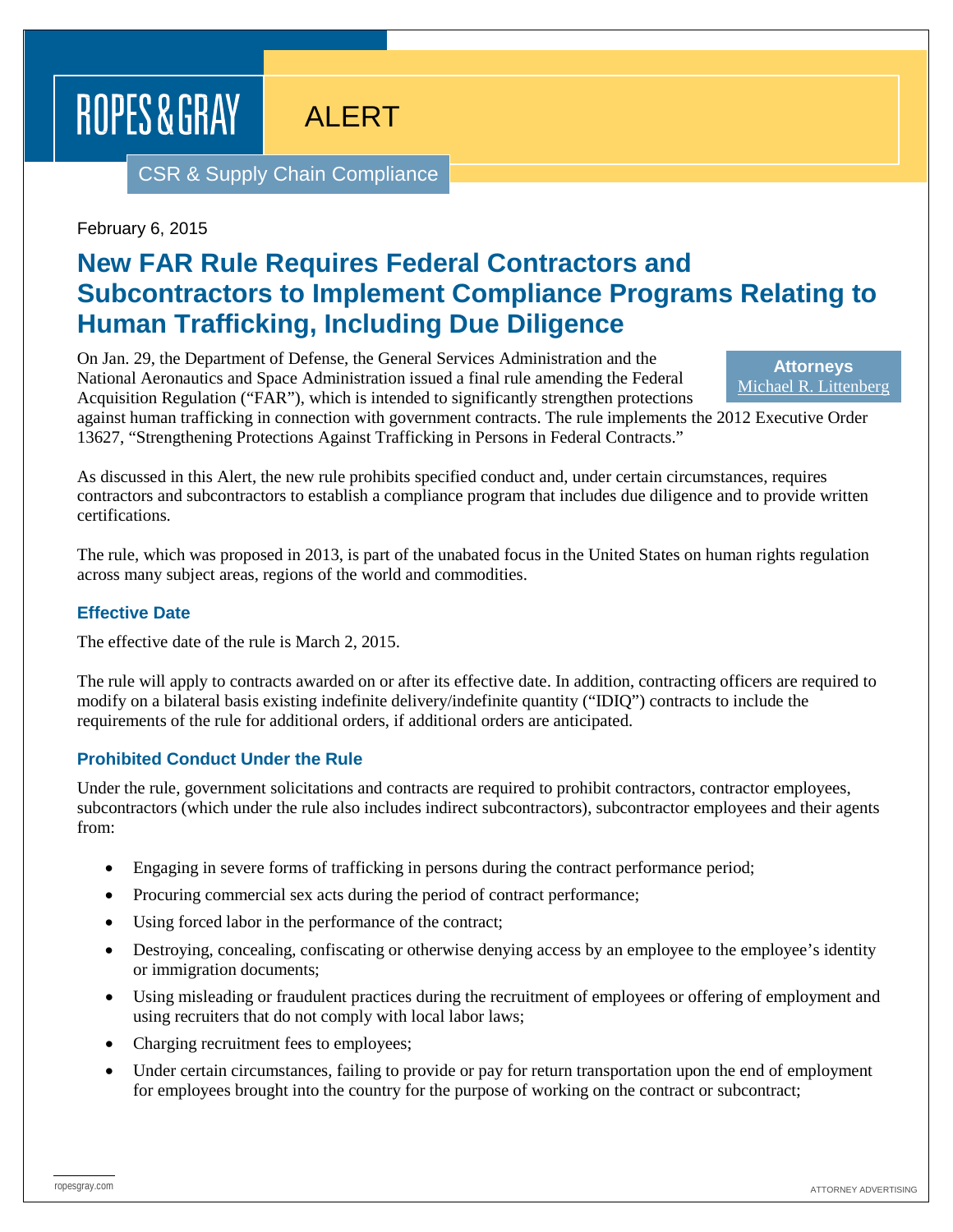# ROPES & GRAY

ALERT

CSR & Supply Chain Compliance

February 6, 2015

## **New FAR Rule Requires Federal Contractors and Subcontractors to Implement Compliance Programs Relating to Human Trafficking, Including Due Diligence**

On Jan. 29, the Department of Defense, the General Services Administration and the National Aeronautics and Space Administration issued a final rule amending the Federal Acquisition Regulation ("FAR"), which is intended to significantly strengthen protections

**Attorneys** [Michael R. Littenberg](https://www.ropesgray.com/biographies/l/michael-littenberg.aspx)

against human trafficking in connection with government contracts. The rule implements the 2012 Executive Order 13627, "Strengthening Protections Against Trafficking in Persons in Federal Contracts."

As discussed in this Alert, the new rule prohibits specified conduct and, under certain circumstances, requires contractors and subcontractors to establish a compliance program that includes due diligence and to provide written certifications.

The rule, which was proposed in 2013, is part of the unabated focus in the United States on human rights regulation across many subject areas, regions of the world and commodities.

#### **Effective Date**

The effective date of the rule is March 2, 2015.

The rule will apply to contracts awarded on or after its effective date. In addition, contracting officers are required to modify on a bilateral basis existing indefinite delivery/indefinite quantity ("IDIQ") contracts to include the requirements of the rule for additional orders, if additional orders are anticipated.

#### **Prohibited Conduct Under the Rule**

Under the rule, government solicitations and contracts are required to prohibit contractors, contractor employees, subcontractors (which under the rule also includes indirect subcontractors), subcontractor employees and their agents from:

- Engaging in severe forms of trafficking in persons during the contract performance period;
- Procuring commercial sex acts during the period of contract performance;
- Using forced labor in the performance of the contract;
- Destroying, concealing, confiscating or otherwise denying access by an employee to the employee's identity or immigration documents;
- Using misleading or fraudulent practices during the recruitment of employees or offering of employment and using recruiters that do not comply with local labor laws;
- Charging recruitment fees to employees;
- Under certain circumstances, failing to provide or pay for return transportation upon the end of employment for employees brought into the country for the purpose of working on the contract or subcontract;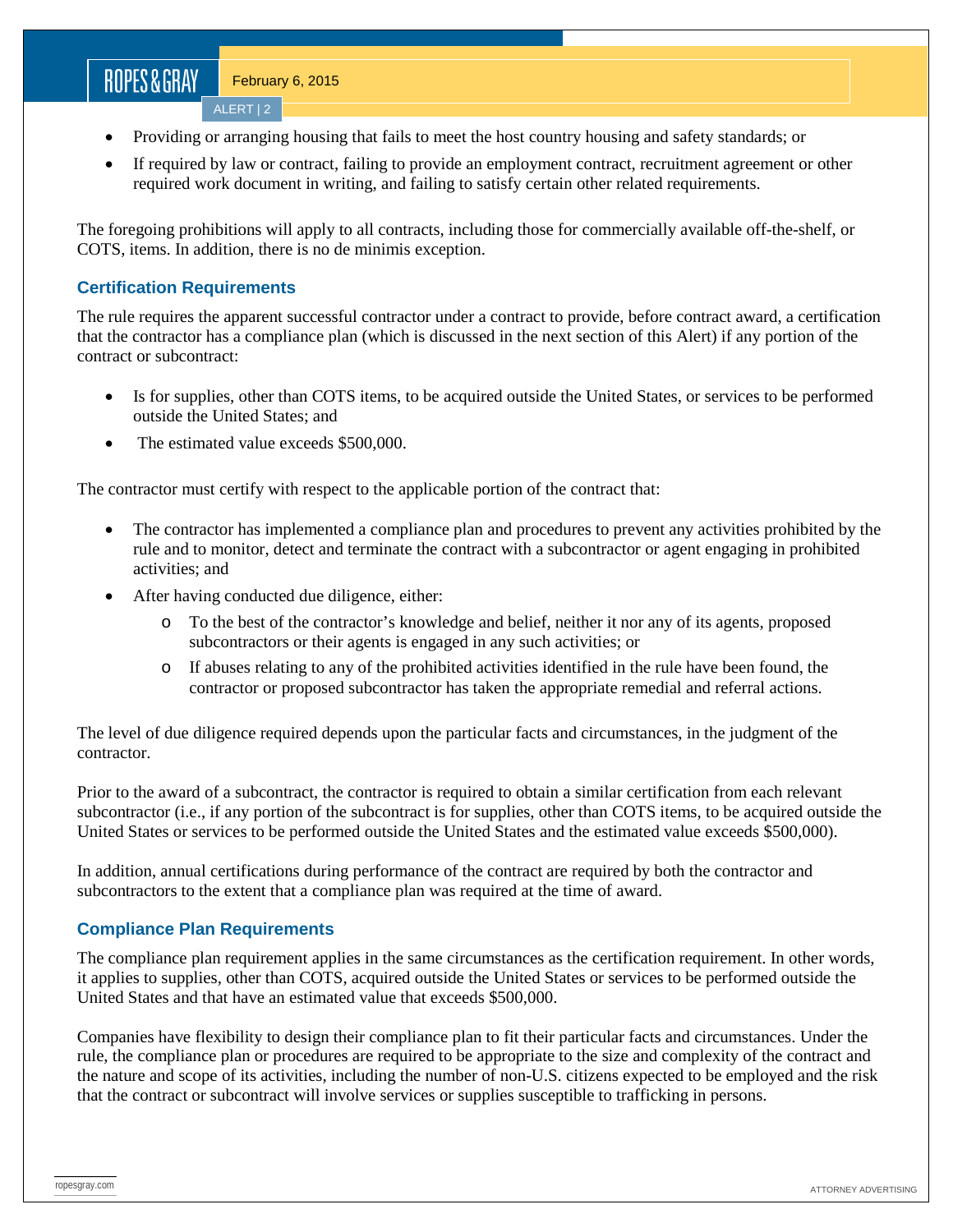## ROPES&GRAY

ALERT | 2

- Providing or arranging housing that fails to meet the host country housing and safety standards; or
- If required by law or contract, failing to provide an employment contract, recruitment agreement or other required work document in writing, and failing to satisfy certain other related requirements.

The foregoing prohibitions will apply to all contracts, including those for commercially available off-the-shelf, or COTS, items. In addition, there is no de minimis exception.

#### **Certification Requirements**

The rule requires the apparent successful contractor under a contract to provide, before contract award, a certification that the contractor has a compliance plan (which is discussed in the next section of this Alert) if any portion of the contract or subcontract:

- Is for supplies, other than COTS items, to be acquired outside the United States, or services to be performed outside the United States; and
- The estimated value exceeds \$500,000.

The contractor must certify with respect to the applicable portion of the contract that:

- The contractor has implemented a compliance plan and procedures to prevent any activities prohibited by the rule and to monitor, detect and terminate the contract with a subcontractor or agent engaging in prohibited activities; and
- After having conducted due diligence, either:
	- o To the best of the contractor's knowledge and belief, neither it nor any of its agents, proposed subcontractors or their agents is engaged in any such activities; or
	- o If abuses relating to any of the prohibited activities identified in the rule have been found, the contractor or proposed subcontractor has taken the appropriate remedial and referral actions.

The level of due diligence required depends upon the particular facts and circumstances, in the judgment of the contractor.

Prior to the award of a subcontract, the contractor is required to obtain a similar certification from each relevant subcontractor (i.e., if any portion of the subcontract is for supplies, other than COTS items, to be acquired outside the United States or services to be performed outside the United States and the estimated value exceeds \$500,000).

In addition, annual certifications during performance of the contract are required by both the contractor and subcontractors to the extent that a compliance plan was required at the time of award.

#### **Compliance Plan Requirements**

The compliance plan requirement applies in the same circumstances as the certification requirement. In other words, it applies to supplies, other than COTS, acquired outside the United States or services to be performed outside the United States and that have an estimated value that exceeds \$500,000.

Companies have flexibility to design their compliance plan to fit their particular facts and circumstances. Under the rule, the compliance plan or procedures are required to be appropriate to the size and complexity of the contract and the nature and scope of its activities, including the number of non-U.S. citizens expected to be employed and the risk that the contract or subcontract will involve services or supplies susceptible to trafficking in persons.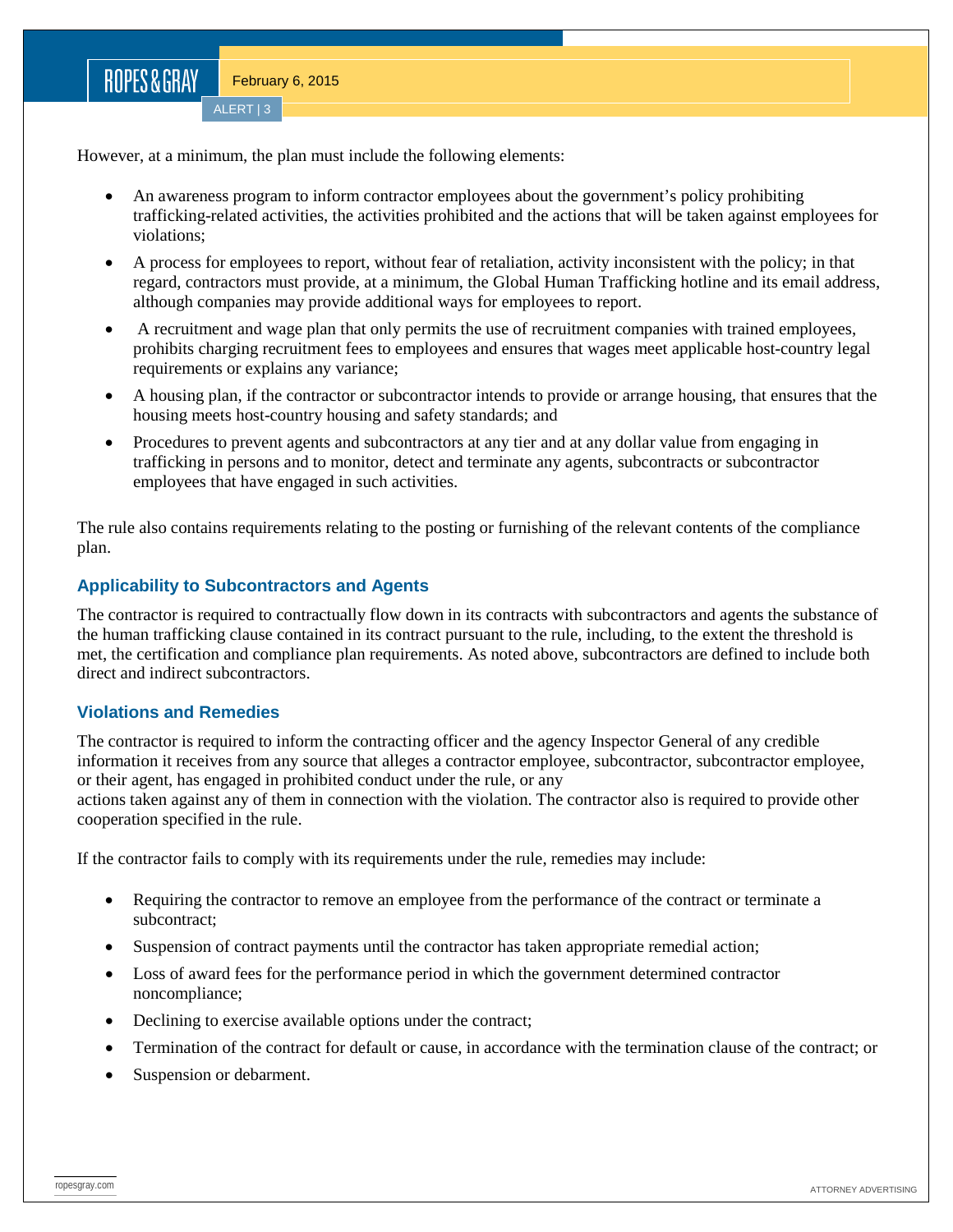However, at a minimum, the plan must include the following elements:

- An awareness program to inform contractor employees about the government's policy prohibiting trafficking-related activities, the activities prohibited and the actions that will be taken against employees for violations;
- A process for employees to report, without fear of retaliation, activity inconsistent with the policy; in that regard, contractors must provide, at a minimum, the Global Human Trafficking hotline and its email address, although companies may provide additional ways for employees to report.
- A recruitment and wage plan that only permits the use of recruitment companies with trained employees, prohibits charging recruitment fees to employees and ensures that wages meet applicable host-country legal requirements or explains any variance;
- A housing plan, if the contractor or subcontractor intends to provide or arrange housing, that ensures that the housing meets host-country housing and safety standards; and
- Procedures to prevent agents and subcontractors at any tier and at any dollar value from engaging in trafficking in persons and to monitor, detect and terminate any agents, subcontracts or subcontractor employees that have engaged in such activities.

The rule also contains requirements relating to the posting or furnishing of the relevant contents of the compliance plan.

#### **Applicability to Subcontractors and Agents**

The contractor is required to contractually flow down in its contracts with subcontractors and agents the substance of the human trafficking clause contained in its contract pursuant to the rule, including, to the extent the threshold is met, the certification and compliance plan requirements. As noted above, subcontractors are defined to include both direct and indirect subcontractors.

#### **Violations and Remedies**

The contractor is required to inform the contracting officer and the agency Inspector General of any credible information it receives from any source that alleges a contractor employee, subcontractor, subcontractor employee, or their agent, has engaged in prohibited conduct under the rule, or any

actions taken against any of them in connection with the violation. The contractor also is required to provide other cooperation specified in the rule.

If the contractor fails to comply with its requirements under the rule, remedies may include:

- Requiring the contractor to remove an employee from the performance of the contract or terminate a subcontract;
- Suspension of contract payments until the contractor has taken appropriate remedial action;
- Loss of award fees for the performance period in which the government determined contractor noncompliance;
- Declining to exercise available options under the contract;
- Termination of the contract for default or cause, in accordance with the termination clause of the contract; or
- Suspension or debarment.